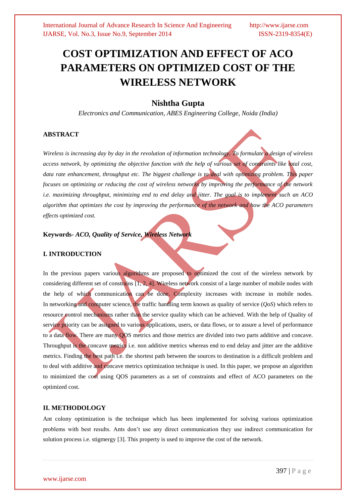# **COST OPTIMIZATION AND EFFECT OF ACO PARAMETERS ON OPTIMIZED COST OF THE WIRELESS NETWORK**

# **Nishtha Gupta**

*Electronics and Communication, ABES Engineering College, Noida (India)*

# **ABSTRACT**

*Wireless is increasing day by day in the revolution of information technology. To formulate a design of wireless access network, by optimizing the objective function with the help of various set of constraints like total cost, data rate enhancement, throughput etc. The biggest challenge is to deal with optimizing problem. This paper focuses on optimizing or reducing the cost of wireless networks by improving the performance of the network i.e. maximizing throughput, minimizing end to end delay and jitter. The goal is to implement such an ACO algorithm that optimizes the cost by improving the performance of the network and how the ACO parameters effects optimized cost.*

# **Keywords-** *ACO, Quality of Service, Wireless Network*

### **I. INTRODUCTION**

In the previous papers various algorithms are proposed to optimized the cost of the wireless network by considering different set of constrains  $[1, 2, 4]$ . Wireless network consist of a large number of mobile nodes with the help of which communication can be done. Complexity increases with increase in mobile nodes. In [networking](http://en.wikipedia.org/wiki/Computer_networking) and computer science, the traffic handling term known as quality of service (*QoS*) which refers to resource control mechanisms rather than the service quality which can be achieved. With the help of Quality of service priority can be assigned to various applications, users, or data [flows,](http://en.wikipedia.org/wiki/Flow_(computer_networking)) or to assure a level of performance to a data flow. There are many QOS metrics and those metrics are divided into two parts additive and concave. Throughput is the concave metrics i.e. non additive metrics whereas end to end delay and jitter are the additive metrics. Finding the best path i.e. the shortest path between the sources to destination is a difficult problem and to deal with additive and concave metrics optimization technique is used. In this paper, we propose an algorithm to minimized the cost using QOS parameters as a set of constraints and effect of ACO parameters on the optimized cost.

# **II. METHODOLOGY**

Ant colony optimization is the technique which has been implemented for solving various optimization problems with best results. Ants don't use any direct communication they use indirect communication for solution process i.e. stigmergy [3]. This property is used to improve the cost of the network.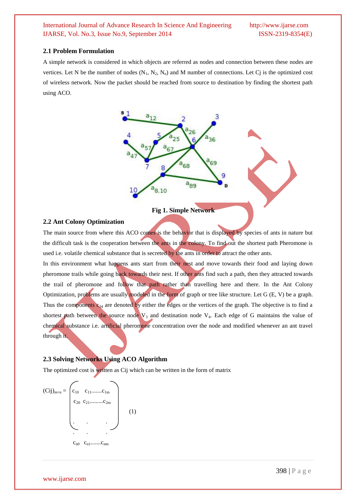#### **2.1 Problem Formulation**

A simple network is considered in which objects are referred as nodes and connection between these nodes are vertices. Let N be the number of nodes  $(N_1, N_2, N_n)$  and M number of connections. Let Cj is the optimized cost of wireless network. Now the packet should be reached from source to destination by finding the shortest path using ACO.



### **Fig 1. Simple Network**

#### **2.2 Ant Colony Optimization**

The main source from where this ACO comes is the behavior that is displayed by species of ants in nature but the difficult task is the cooperation between the ants in the colony. To find out the shortest path Pheromone is used i.e. volatile chemical substance that is secreted by the ants in order to attract the other ants.

In this environment what happens ants start from their nest and move towards their food and laying down pheromone trails while going back towards their nest. If other ants find such a path, then they attracted towards the trail of pheromone and follow that path rather than travelling here and there. In the Ant Colony Optimization, problems are usually modeled in the form of graph or tree like structure. Let G (E, V) be a graph. Thus the components  $c_{34}$  are denoted by either the edges or the vertices of the graph. The objective is to find a shortest path between the source node  $V_3$  and destination node  $V_4$ . Each edge of G maintains the value of chemical substance i.e. artificial pheromone concentration over the node and modified whenever an ant travel through it.

# **2.3 Solving Networks Using ACO Algorithm**

The optimized cost is written as Cij which can be written in the form of matrix

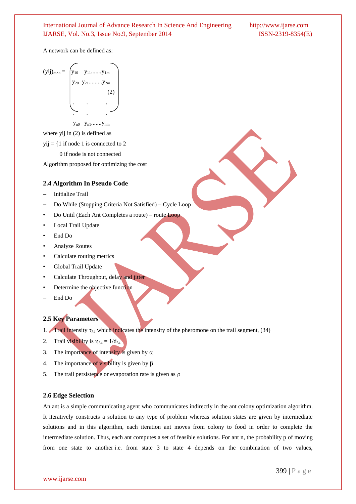A network can be defined as:

$$
(yij)_{m \times n} = \begin{pmatrix} y_{10} & y_{11} \dots \dots \dots y_{1m} \\ y_{20} & y_{21} \dots \dots \dots \dots \ y_{2m} \\ \vdots & \vdots & \vdots \\ \vdots & \vdots & \vdots \\ \vdots & \vdots & \vdots \\ \vdots & \vdots & \vdots \\ \vdots & \vdots & \vdots \\ \vdots & \vdots & \vdots \\ \vdots & \vdots & \vdots \\ \vdots & \vdots & \vdots \\ \vdots & \vdots & \vdots \\ \vdots & \vdots & \vdots \\ \vdots & \vdots & \vdots \\ \vdots & \vdots & \vdots \\ \vdots & \vdots & \vdots \\ \vdots & \vdots & \vdots \\ \vdots & \vdots & \vdots \\ \vdots & \vdots & \vdots \\ \vdots & \vdots & \vdots \\ \vdots & \vdots & \vdots \\ \vdots & \vdots & \vdots \\ \vdots & \vdots & \vdots \\ \vdots & \vdots & \vdots \\ \vdots & \vdots & \vdots \\ \vdots & \vdots & \vdots \\ \vdots & \vdots & \vdots \\ \vdots & \vdots & \vdots \\ \vdots & \vdots & \vdots \\ \vdots & \vdots & \vdots \\ \vdots & \vdots & \vdots \\ \vdots & \vdots & \vdots \\ \vdots & \vdots & \vdots \\ \vdots & \vdots & \vdots \\ \vdots & \vdots & \vdots \\ \vdots & \vdots & \vdots \\ \vdots & \vdots & \vdots \\ \vdots & \vdots & \vdots \\ \vdots & \vdots & \vdots \\ \vdots & \vdots & \vdots \\ \vdots & \vdots & \vdots \\ \vdots & \vdots & \vdots \\ \vdots & \vdots & \vdots \\ \vdots & \vdots & \vdots \\ \vdots & \vdots & \vdots \\ \vdots & \vdots & \vdots \\ \vdots & \vdots & \vdots \\ \vdots & \vdots & \vdots \\ \vdots & \vdots & \vdots \\ \vdots & \vdots & \vdots \\ \vdots & \vdots & \vdots \\ \vdots & \vdots & \vdots \\ \vdots & \vdots & \vdots \\ \vdots & \vdots & \vdots \\ \vdots & \vdots & \vdots \\ \vdots & \vdots & \vdots \\ \vdots & \vdots & \vdots \\ \vdots & \vdots & \vdots \\ \vdots & \vdots & \vdots \\ \vdots & \vdots & \vdots \\ \vdots & \vdots & \vd
$$

 $y_{n0}$   $y_{n1}$ ....... $y_{nm}$ 

where yij in  $(2)$  is defined as

 $vii = \{1$  if node 1 is connected to 2

0 if node is not connected

Algorithm proposed for optimizing the cost

#### **2.4 Algorithm In Pseudo Code**

- Initialize Trail
- Do While (Stopping Criteria Not Satisfied) Cycle Loop
- Do Until (Each Ant Completes a route) route Loop
- Local Trail Update
- End Do
- Analyze Routes
- Calculate routing metrics
- Global Trail Update
- Calculate Throughput, delay and jitter
- Determine the objective function
- End Do

# **2.5 Key Parameters**

- 1. Trail intensity  $\tau_{34}$  which indicates the intensity of the pheromone on the trail segment, (34)
- 2. Trail visibility is  $\eta_{34} = 1/d_{34}$
- 3. The importance of intensity is given by  $\alpha$
- 4. The importance of visibility is given by  $\beta$
- 5. The trail persistence or evaporation rate is given as  $\rho$

#### **2.6 Edge Selection**

An ant is a simple communicating agent who communicates indirectly in the ant colony optimization algorithm. It iteratively constructs a solution to any type of problem whereas solution states are given by intermediate solutions and in this algorithm, each iteration ant moves from colony to food in order to complete the intermediate solution. Thus, each ant computes a set of feasible solutions. For ant n, the probability p of moving from one state to another i.e. from state 3 to state 4 depends on the combination of two values,

www.ijarse.com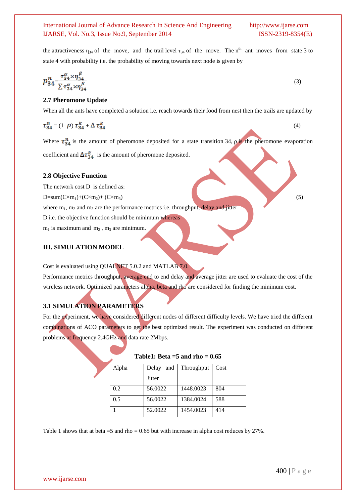the attractiveness  $\eta_{34}$  of the move, and the trail level  $\tau_{34}$  of the move. The n<sup>th</sup> ant moves from state 3 to state 4 with probability i.e. the probability of moving towards next node is given by

$$
p_{34}^n = \frac{\tau_{34}^\alpha \times \eta_{34}^\beta}{\sum \tau_{34}^\alpha \times \eta_{34}^\beta}
$$
\n<sup>(3)</sup>

# **2.7 Pheromone Update**

When all the ants have completed a solution i.e. reach towards their food from nest then the trails are updated by

$$
\tau_{34}^n = (1 - \rho) \tau_{34}^k + \Delta \tau_{34}^k \tag{4}
$$

Where  $\tau_{34}^n$  is the amount of pheromone deposited for a state transition 34, *ρ* is the pheromone evaporation coefficient and  $\Delta \tau_{34}^{k}$  is the amount of pheromone deposited.

#### **2.8 Objective Function**

The network cost D is defined as:

 $D=sum(C\times m_1)+(C\times m_2)+(C\times m_3)$  (5)

where  $m_1$ ,  $m_2$  and  $m_3$  are the performance metrics i.e. throughput, delay and jitter

- D i.e. the objective function should be minimum whereas
- $m_1$  is maximum and  $m_2$ ,  $m_3$  are minimum.

# **III. SIMULATION MODEL**

Cost is evaluated using QUALNET 5.0.2 and MATLAB 7.0.

Performance metrics throughput, average end to end delay and average jitter are used to evaluate the cost of the wireless network. Optimized parameters alpha, beta and rho are considered for finding the minimum cost.

# **3.1 SIMULATION PARAMETERS**

For the experiment, we have considered different nodes of different difficulty levels. We have tried the different combinations of ACO parameters to get the best optimized result. The experiment was conducted on different problems at frequency 2.4GHz and data rate 2Mbps.

| Alpha | Delay<br>and  | Throughput | Cost |
|-------|---------------|------------|------|
|       | <b>Jitter</b> |            |      |
| 0.2   | 56.0022       | 1448.0023  | 804  |
| 0.5   | 56.0022       | 1384.0024  | 588  |
|       | 52.0022       | 1454.0023  | 414  |

| Table1: Beta = $5$ and rho = 0.65 |
|-----------------------------------|
|-----------------------------------|

Table 1 shows that at beta =5 and rho = 0.65 but with increase in alpha cost reduces by 27%.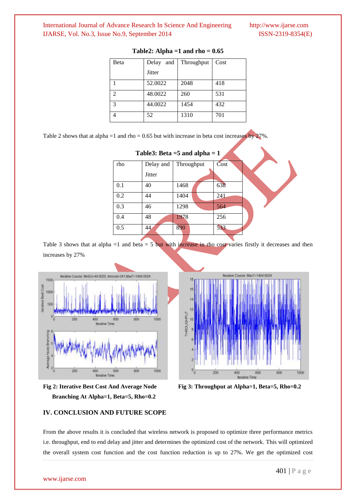| Beta           | Delay<br>and  | Throughput | Cost |
|----------------|---------------|------------|------|
|                | <b>Jitter</b> |            |      |
|                | 52.0022       | 2048       | 418  |
| $\mathfrak{D}$ | 48.0022       | 260        | 531  |
| $\mathcal{R}$  | 44.0022       | 1454       | 432  |
|                | 52            | 1310       | 701  |

#### **Table2: Alpha =1 and rho = 0.65**

Table 2 shows that at alpha =1 and rho = 0.65 but with increase in beta cost increases by  $27\%$ .

| $1$ ables: Beta =5 and alpha = 1 |               |            |      |  |  |  |  |
|----------------------------------|---------------|------------|------|--|--|--|--|
| rho                              | Delay and     | Throughput | Cost |  |  |  |  |
|                                  | <b>Jitter</b> |            |      |  |  |  |  |
| 0.1                              | 40            | 1468       | 638  |  |  |  |  |
| 0.2                              | 44            | 1404       | 241  |  |  |  |  |
| 0.3                              | 46            | 1298       | 564  |  |  |  |  |
| 0.4                              | 48            | 1978       | 256  |  |  |  |  |
| 0.5                              | 44            | 890        | 533  |  |  |  |  |

**Table3: Beta =5 and alpha = 1**

Table 3 shows that at alpha =1 and beta = 5 but with increase in rho cost varies firstly it decreases and then increases by 27%





**Fig 2: Iterative Best Cost And Average Node Fig 3: Throughput at Alpha=1, Beta=5, Rho=0.2 Branching At Alpha=1, Beta=5, Rho=0.2**

# **IV. CONCLUSION AND FUTURE SCOPE**

From the above results it is concluded that wireless network is proposed to optimize three performance metrics i.e. throughput, end to end delay and jitter and determines the optimized cost of the network. This will optimized the overall system cost function and the cost function reduction is up to 27%. We get the optimized cost